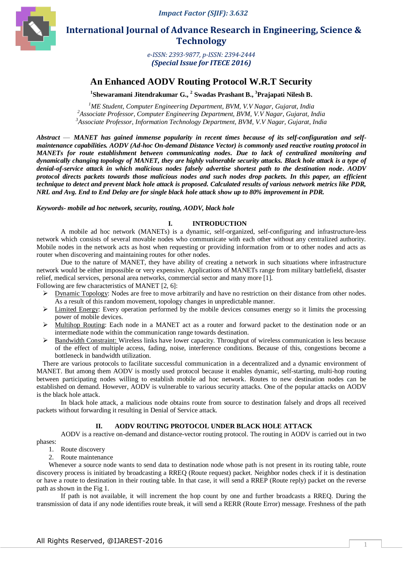

 **International Journal of Advance Research in Engineering, Science & Technology** 

> *e-ISSN: 2393-9877, p-ISSN: 2394-2444 (Special Issue for ITECE 2016)*

# **An Enhanced AODV Routing Protocol W.R.T Security**

**1 Shewaramani Jitendrakumar G., <sup>2</sup> Swadas Prashant B., <sup>3</sup>Prajapati Nilesh B.**

*<sup>1</sup>ME Student, Computer Engineering Department, BVM, V.V Nagar, Gujarat, India <sup>2</sup>Associate Professor, Computer Engineering Department, BVM, V.V Nagar, Gujarat, India <sup>3</sup>Associate Professor, Information Technology Department, BVM, V.V Nagar, Gujarat, India*

*Abstract* — *MANET has gained immense popularity in recent times because of its self-configuration and selfmaintenance capabilities. AODV (Ad-hoc On-demand Distance Vector) is commonly used reactive routing protocol in MANETs for route establishment between communicating nodes. Due to lack of centralized monitoring and dynamically changing topology of MANET, they are highly vulnerable security attacks. Black hole attack is a type of denial-of-service attack in which malicious nodes falsely advertise shortest path to the destination node. AODV protocol directs packets towards those malicious nodes and such nodes drop packets. In this paper, an efficient technique to detect and prevent black hole attack is proposed. Calculated results of various network metrics like PDR, NRL and Avg. End to End Delay are for single black hole attack show up to 80% improvement in PDR.*

*Keywords- mobile ad hoc network, security, routing, AODV, black hole*

#### **I. INTRODUCTION**

A mobile ad hoc network (MANETs) is a dynamic, self-organized, self-configuring and infrastructure-less network which consists of several movable nodes who communicate with each other without any centralized authority. Mobile nodes in the network acts as host when requesting or providing information from or to other nodes and acts as router when discovering and maintaining routes for other nodes.

Due to the nature of MANET, they have ability of creating a network in such situations where infrastructure network would be either impossible or very expensive. Applications of MANETs range from military battlefield, disaster relief, medical services, personal area networks, commercial sector and many more [1].

Following are few characteristics of MANET [2, 6]:

- $\triangleright$  Dynamic Topology: Nodes are free to move arbitrarily and have no restriction on their distance from other nodes. As a result of this random movement, topology changes in unpredictable manner.
- $\triangleright$  Limited Energy: Every operation performed by the mobile devices consumes energy so it limits the processing power of mobile devices.
- Multihop Routing: Each node in a MANET act as a router and forward packet to the destination node or an intermediate node within the communication range towards destination.
- $\triangleright$  Bandwidth Constraint: Wireless links have lower capacity. Throughput of wireless communication is less because of the effect of multiple access, fading, noise, interference conditions. Because of this, congestions become a bottleneck in bandwidth utilization.

There are various protocols to facilitate successful communication in a decentralized and a dynamic environment of MANET. But among them AODV is mostly used protocol because it enables dynamic, self-starting, multi-hop routing between participating nodes willing to establish mobile ad hoc network. Routes to new destination nodes can be established on demand. However, AODV is vulnerable to various security attacks. One of the popular attacks on AODV is the black hole attack.

In black hole attack, a malicious node obtains route from source to destination falsely and drops all received packets without forwarding it resulting in Denial of Service attack.

#### **II. AODV ROUTING PROTOCOL UNDER BLACK HOLE ATTACK**

AODV is a reactive on-demand and distance-vector routing protocol. The routing in AODV is carried out in two phases:

- 1. Route discovery
- 2. Route maintenance

Whenever a source node wants to send data to destination node whose path is not present in its routing table, route discovery process is initiated by broadcasting a RREQ (Route request) packet. Neighbor nodes check if it is destination or have a route to destination in their routing table. In that case, it will send a RREP (Route reply) packet on the reverse path as shown in the Fig 1.

If path is not available, it will increment the hop count by one and further broadcasts a RREQ. During the transmission of data if any node identifies route break, it will send a RERR (Route Error) message. Freshness of the path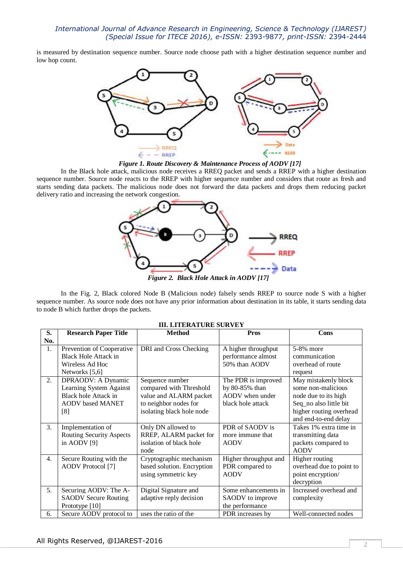is measured by destination sequence number. Source node choose path with a higher destination sequence number and low hop count.



 *Figure 1. Route Discovery & Maintenance Process of AODV [17]*

In the Black hole attack, malicious node receives a RREQ packet and sends a RREP with a higher destination sequence number. Source node reacts to the RREP with higher sequence number and considers that route as fresh and starts sending data packets. The malicious node does not forward the data packets and drops them reducing packet delivery ratio and increasing the network congestion.



*Figure 2. Black Hole Attack in AODV [17]*

In the Fig. 2, Black colored Node B (Malicious node) falsely sends RREP to source node S with a higher sequence number. As source node does not have any prior information about destination in its table, it starts sending data to node B which further drops the packets.

| S.               | <b>Research Paper Title</b>     | <b>Method</b>              | <b>Pros</b>           | Cons                     |
|------------------|---------------------------------|----------------------------|-----------------------|--------------------------|
| No.              |                                 |                            |                       |                          |
| 1.               | Prevention of Cooperative       | DRI and Cross Checking     | A higher throughput   | 5-8% more                |
|                  | <b>Black Hole Attack in</b>     |                            | performance almost    | communication            |
|                  | Wireless Ad Hoc                 |                            | 50% than AODV         | overhead of route        |
|                  | Networks [5,6]                  |                            |                       | request                  |
| 2.               | DPRAODV: A Dynamic              | Sequence number            | The PDR is improved   | May mistakenly block     |
|                  | Learning System Against         | compared with Threshold    | by 80-85% than        | some non-malicious       |
|                  | Black hole Attack in            | value and ALARM packet     | AODV when under       | node due to its high     |
|                  | <b>AODV</b> based MANET         | to neighbor nodes for      | black hole attack     | Seq_no also little bit   |
|                  | [8]                             | isolating black hole node  |                       | higher routing overhead  |
|                  |                                 |                            |                       | and end-to-end delay     |
| 3.               | Implementation of               | Only DN allowed to         | PDR of SAODV is       | Takes 1% extra time in   |
|                  | <b>Routing Security Aspects</b> | RREP, ALARM packet for     | more immune that      | transmitting data        |
|                  | in AODV $[9]$                   | isolation of black hole    | <b>AODV</b>           | packets compared to      |
|                  |                                 | node                       |                       | <b>AODV</b>              |
| $\overline{4}$ . | Secure Routing with the         | Cryptographic mechanism    | Higher throughput and | Higher routing           |
|                  | AODV Protocol [7]               | based solution. Encryption | PDR compared to       | overhead due to point to |
|                  |                                 | using symmetric key        | <b>AODV</b>           | point encryption/        |
|                  |                                 |                            |                       | decryption               |
| 5.               | Securing AODV: The A-           | Digital Signature and      | Some enhancements in  | Increased overhead and   |
|                  | <b>SAODV Secure Routing</b>     | adaptive reply decision    | SAODV to improve      | complexity               |
|                  | Prototype [10]                  |                            | the performance       |                          |
| 6.               | Secure AODV protocol to         | uses the ratio of the      | PDR increases by      | Well-connected nodes     |

#### **III. LITERATURE SURVEY**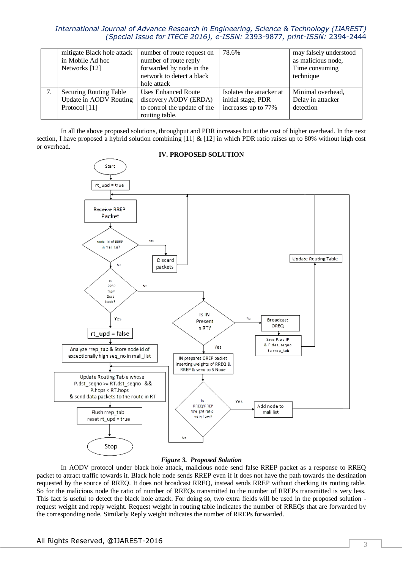| mitigate Black hole attack | number of route request on   | 78.6%                    | may falsely understood |
|----------------------------|------------------------------|--------------------------|------------------------|
| in Mobile Ad hoc           | number of route reply        |                          | as malicious node,     |
| Networks [12]              | forwarded by node in the     |                          | Time consuming         |
|                            | network to detect a black    |                          | technique              |
|                            | hole attack                  |                          |                        |
| Securing Routing Table     | <b>Uses Enhanced Route</b>   | Isolates the attacker at | Minimal overhead,      |
| Update in AODV Routing     | discovery AODV (ERDA)        | initial stage, PDR       | Delay in attacker      |
| Protocol [11]              | to control the update of the | increases up to 77%      | detection              |
|                            | routing table.               |                          |                        |

In all the above proposed solutions, throughput and PDR increases but at the cost of higher overhead. In the next section, I have proposed a hybrid solution combining  $[11] \& [12]$  in which PDR ratio raises up to 80% without high cost or overhead.



### **IV. PROPOSED SOLUTION**

#### *Figure 3. Proposed Solution*

In AODV protocol under black hole attack, malicious node send false RREP packet as a response to RREQ packet to attract traffic towards it. Black hole node sends RREP even if it does not have the path towards the destination requested by the source of RREQ. It does not broadcast RREQ, instead sends RREP without checking its routing table. So for the malicious node the ratio of number of RREQs transmitted to the number of RREPs transmitted is very less. This fact is useful to detect the black hole attack. For doing so, two extra fields will be used in the proposed solution request weight and reply weight. Request weight in routing table indicates the number of RREQs that are forwarded by the corresponding node. Similarly Reply weight indicates the number of RREPs forwarded.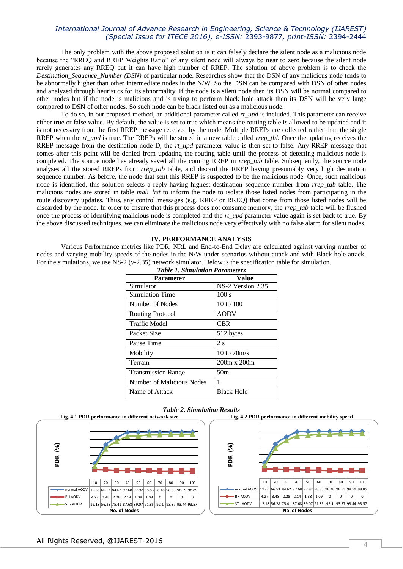The only problem with the above proposed solution is it can falsely declare the silent node as a malicious node because the "RREQ and RREP Weights Ratio" of any silent node will always be near to zero because the silent node rarely generates any RREQ but it can have high number of RREP. The solution of above problem is to check the *Destination Sequence Number (DSN)* of particular node. Researches show that the DSN of any malicious node tends to be abnormally higher than other intermediate nodes in the N/W. So the DSN can be compared with DSN of other nodes and analyzed through heuristics for its abnormality. If the node is a silent node then its DSN will be normal compared to other nodes but if the node is malicious and is trying to perform black hole attack then its DSN will be very large compared to DSN of other nodes*.* So such node can be black listed out as a malicious node.

To do so, in our proposed method, an additional parameter called *rt\_upd* is included. This parameter can receive either true or false value. By default, the value is set to true which means the routing table is allowed to be updated and it is not necessary from the first RREP message received by the node. Multiple RREPs are collected rather than the single RREP when the *rt\_upd* is true. The RREPs will be stored in a new table called *rrep\_tbl.* Once the updating receives the RREP message from the destination node D, the *rt\_upd* parameter value is then set to false. Any RREP message that comes after this point will be denied from updating the routing table until the process of detecting malicious node is completed. The source node has already saved all the coming RREP in *rrep\_tab* table. Subsequently, the source node analyses all the stored RREPs from *rrep\_tab* table, and discard the RREP having presumably very high destination sequence number. As before, the node that sent this RREP is suspected to be the malicious node. Once, such malicious node is identified, this solution selects a reply having highest destination sequence number from *rrep\_tab* table. The malicious nodes are stored in table *mali\_list* to inform the node to isolate those listed nodes from participating in the route discovery updates. Thus, any control messages (e.g. RREP or RREQ) that come from those listed nodes will be discarded by the node. In order to ensure that this process does not consume memory, the *rrep\_tab* table will be flushed once the process of identifying malicious node is completed and the *rt\_upd* parameter value again is set back to true. By the above discussed techniques, we can eliminate the malicious node very effectively with no false alarm for silent nodes.

#### **IV. PERFORMANCE ANALYSIS**

Various Performance metrics like PDR, NRL and End-to-End Delay are calculated against varying number of nodes and varying mobility speeds of the nodes in the N/W under scenarios without attack and with Black hole attack. For the simulations, we use NS-2 (v-2.35) network simulator. Below is the specification table for simulation.

| <b>Table 1. Simulation Parameters</b> |                    |  |  |  |
|---------------------------------------|--------------------|--|--|--|
| Parameter                             | Value              |  |  |  |
| Simulator                             | NS-2 Version 2.35  |  |  |  |
| Simulation Time                       | 100 s              |  |  |  |
| Number of Nodes                       | 10 to 100          |  |  |  |
| Routing Protocol                      | <b>AODV</b>        |  |  |  |
| <b>Traffic Model</b>                  | CBR                |  |  |  |
| Packet Size                           | 512 bytes          |  |  |  |
| Pause Time                            | 2s                 |  |  |  |
| Mobility                              | 10 to $70m/s$      |  |  |  |
| Terrain                               | $200m \times 200m$ |  |  |  |
| <b>Transmission Range</b>             | 50 <sub>m</sub>    |  |  |  |
| Number of Malicious Nodes             | 1                  |  |  |  |
| Name of Attack                        | <b>Black Hole</b>  |  |  |  |





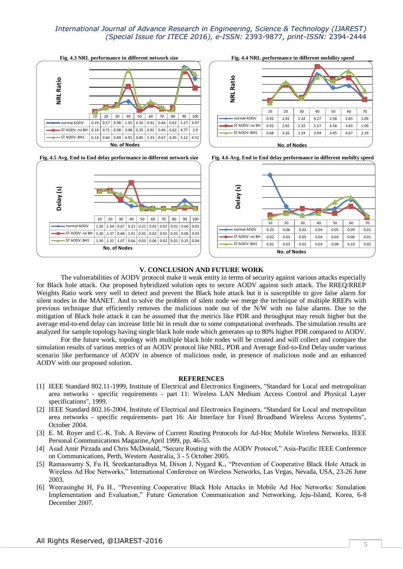10 20 30 40 50 60 70 80 90 100 normal AODV 0.19 0.57 0.98 1.35 0.35 0.91 0.46 0.62 5.27 3.97  $\bullet$  ST AODV: no BH  $\mid$  0.19  $\mid$  0.71  $\mid$  0.98  $\mid$  3.08  $\mid$  0.35  $\mid$  0.91  $\mid$  0.46  $\mid$  0.62  $\mid$  4.77  $\mid$  2.9 ST AODV: BH1 0.14 0.66 0.89 4.91 0.85 1.33 0.67 0.45 5.12 4.52 **No. of Nodes NRL Ratio**









#### **V. CONCLUSION AND FUTURE WORK**

The vulnerabilities of AODV protocol make it weak entity in terms of security against various attacks especially for Black hole attack. Our proposed hybridized solution opts to secure AODV against such attack. The RREQ/RREP Weights Ratio work very well to detect and prevent the Black hole attack but it is susceptible to give false alarm for silent nodes in the MANET. And to solve the problem of silent node we merge the technique of multiple RREPs with previous technique that efficiently removes the malicious node out of the N/W with no false alarms. Due to the mitigation of Black hole attack it can be assumed that the metrics like PDR and throughput may result higher but the average end-to-end delay can increase little bit in result due to some computational overheads. The simulation results are analyzed for sample topology having single black hole node which generates up to 80% higher PDR compared to AODV.

For the future work, topology with multiple black hole nodes will be created and will collect and compare the simulation results of various metrics of an AODV protocol like NRL, PDR and Average End-to-End Delay under various scenario like performance of AODV in absence of malicious node, in presence of malicious node and an enhanced AODV with our proposed solution.

#### **REFERENCES**

- [1] IEEE Standard 802.11-1999, Institute of Electrical and Electronics Engineers, "Standard for Local and metropolitan area networks - specific requirements - part 11: Wireless LAN Medium Access Control and Physical Layer specifications", 1999.
- [2] IEEE Standard 802.16-2004, Institute of Electrical and Electronics Engineers, "Standard for Local and metropolitan area networks - specific requirements- part 16: Air Interface for Fixed Broadband Wireless Access Systems", October 2004.
- [3] E. M. Royer and C.-K. Toh. A Review of Current Routing Protocols for Ad-Hoc Mobile Wireless Networks. IEEE Personal Communications Magazine,April 1999, pp. 46-55.
- [4] Asad Amir Pirzada and Chris McDonald, "Secure Routing with the AODV Protocol," Asia-Pacific IEEE Conference on Communications, Perth, Western Australia, 3 - 5 October 2005.
- [5] Ramaswamy S, Fu H, Sreekantaradhya M, Dixon J, Nygard K., "Prevention of Cooperative Black Hole Attack in Wireless Ad Hoc Networks," International Conference on Wireless Networks, Las Vegas, Nevada, USA, 23-26 June 2003.
- [6] Weerasinghe H, Fu H., "Preventing Cooperative Black Hole Attacks in Mobile Ad Hoc Networks: Simulation Implementation and Evaluation," Future Generation Communication and Networking, Jeju-Island, Korea, 6-8 December 2007.